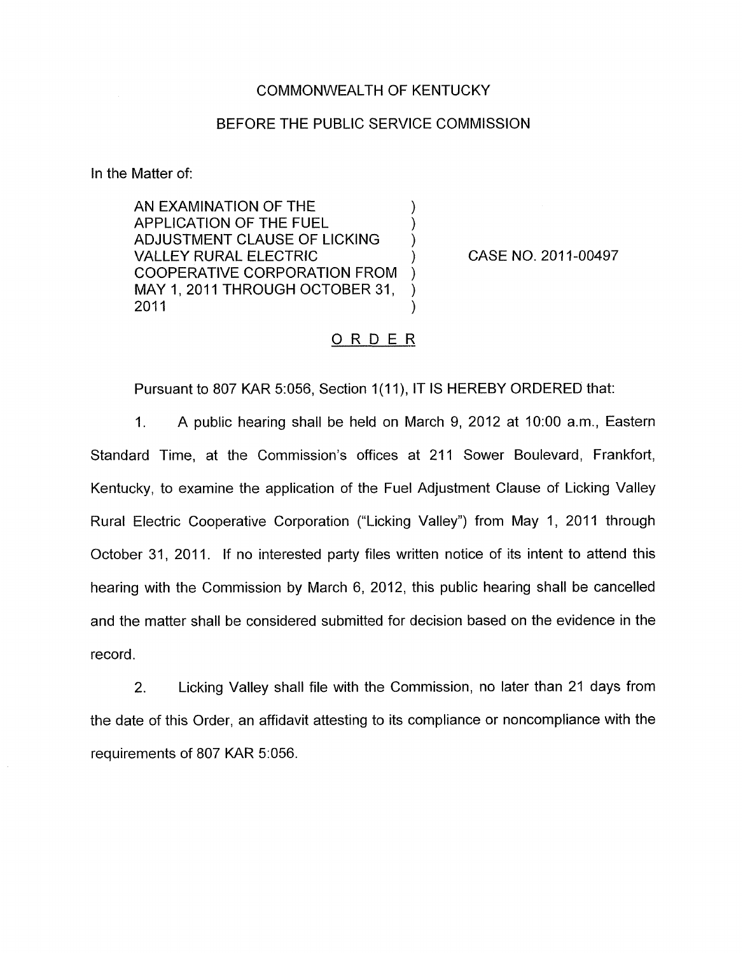## COMMONWEALTH OF KENTUCKY

## BEFORE THE PUBLIC SERVICE COMMISSION

In the Matter of:

AN EXAMINATION OF THE  $)$ APPLICATION OF THE FUEL ) ADJUSTMENT CLAUSE OF LICKING ) VALLEY RURAL ELECTRIC (1999) COOPERATIVE CORPORATION FROM ) MAY 1, 2011 THROUGH OCTOBER 31,<br>2011  $2011$  )

CASE NO. 2011-00497

## ORDER

Pursuant to 807 KAR 5:056, Section 1(11), IT IS HEREBY ORDERED that:

1. A public hearing shall be held on March 9, 2012 at 1O:OO a.m., Eastern Standard Time, at the Commission's offices at 211 Sower Boulevard, Frankfort, Kentucky, to examine the application of the Fuel Adjustment Clause of Licking Valley Rural Electric Cooperative Corporation ("Licking Valley") from May 1, 2011 through October 31, 2011. If no interested party files written notice of its intent to attend this hearing with the Commission by March 6, 2012, this public hearing shall be cancelled and the matter shall be considered submitted for decision based on the evidence in the record.

2. Licking Valley shall file with the Commission, no later than 21 days from the date of this Order, an affidavit attesting to its compliance or noncompliance with the requirements of 807 KAR 5:056.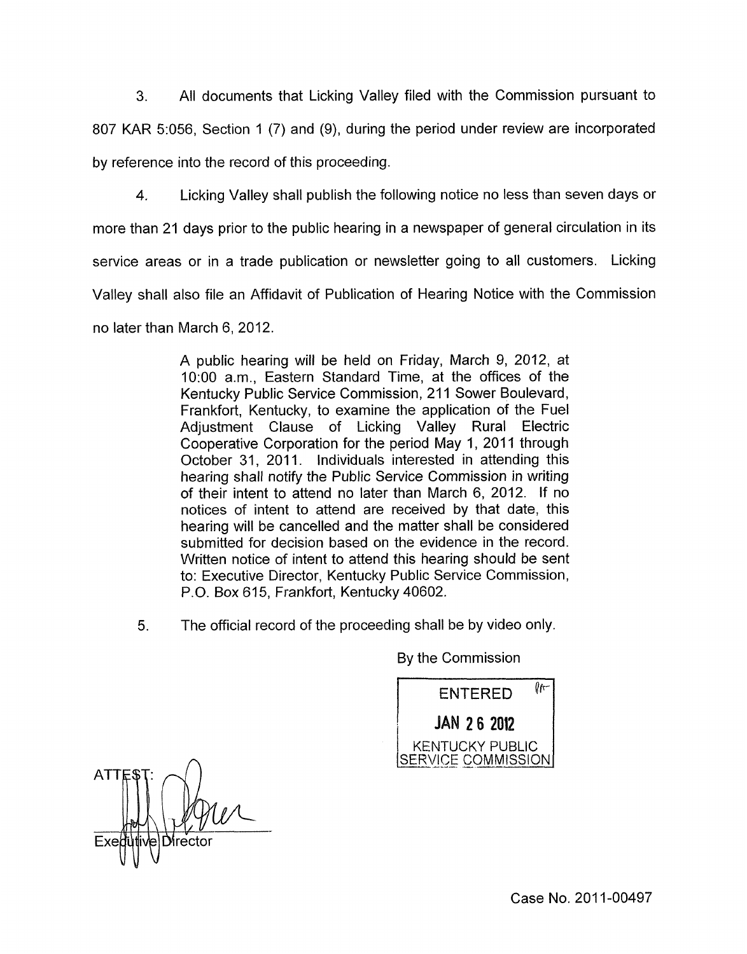3. All documents that Licking Valley filed with the Commission pursuant to

807 KAR 5:056, Section 1 (7) and (9), during the period under review are incorporated by reference into the record of this proceeding.

4. Licking Valley shall publish the following notice no less than seven days or

more than 21 days prior to the public hearing in a newspaper of general circulation in its

service areas or in a trade publication or newsletter going to all customers. Licking

Valley shall also file an Affidavit of Publication of Hearing Notice with the Commission

no later than March 6, 2012.

A public hearing will be held on Friday, March 9, 2012, at 1O:OO a.m., Eastern Standard Time, at the offices of the Kentucky Public Service Commission, 211 Sower Boulevard, Frankfort, Kentucky, to examine the application of the Fuel Adjustment Clause of Licking Valley Rural Electric Cooperative Corporation for the period May 1, 2011 through October 31, 2011. Individuals interested in attending this hearing shall notify the Public Service Commission in writing of their intent to attend no later than March 6, 2012. If no notices of intent to attend are received by that date, this hearing will be cancelled and the matter shall be considered submitted for decision based on the evidence in the record. Written notice of intent to attend this hearing should be sent to: Executive Director, Kentucky Public Service Commission, P.O. Box 615, Frankfort, Kentucky 40602.

*5.* The official record of the proceeding shall be by video only.

By the Commission

Pr-**ENTERED -I---.** - -- KENTUCKY PUBLIC

**ATT** D⁄irectoı